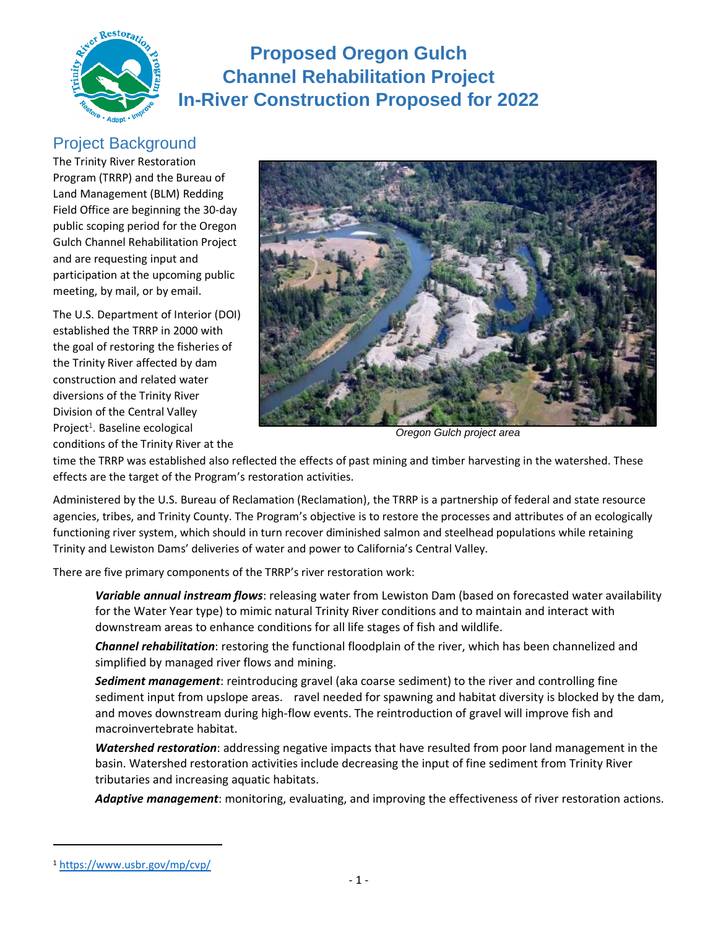

# **Proposed Oregon Gulch Channel Rehabilitation Project In-River Construction Proposed for 2022**

### Project Background

The Trinity River Restoration Program (TRRP) and the Bureau of Land Management (BLM) Redding Field Office are beginning the 30-day public scoping period for the Oregon Gulch Channel Rehabilitation Project and are requesting input and participation at the upcoming public meeting, by mail, or by email.

The U.S. Department of Interior (DOI) established the TRRP in 2000 with the goal of restoring the fisheries of the Trinity River affected by dam construction and related water diversions of the Trinity River Division of the Central Valley Project<sup>1</sup>. Baseline ecological conditions of the Trinity River at the



*Oregon Gulch project area*

time the TRRP was established also reflected the effects of past mining and timber harvesting in the watershed. These effects are the target of the Program's restoration activities.

Administered by the U.S. Bureau of Reclamation (Reclamation), the TRRP is a partnership of federal and state resource agencies, tribes, and Trinity County. The Program's objective is to restore the processes and attributes of an ecologically functioning river system, which should in turn recover diminished salmon and steelhead populations while retaining Trinity and Lewiston Dams' deliveries of water and power to California's Central Valley.

There are five primary components of the TRRP's river restoration work:

- 1. *Variable annual instream flows*: releasing water from Lewiston Dam (based on forecasted water availability for the Water Year type) to mimic natural Trinity River conditions and to maintain and interact with downstream areas to enhance conditions for all life stages of fish and wildlife.
- 2. *Channel rehabilitation*: restoring the functional floodplain of the river, which has been channelized and simplified by managed river flows and mining.
- 3. *Sediment management*: reintroducing gravel (aka coarse sediment) to the river and controlling fine sediment input from upslope areas. Gravel needed for spawning and habitat diversity is blocked by the dam, and moves downstream during high-flow events. The reintroduction of gravel will improve fish and macroinvertebrate habitat.
- 4. *Watershed restoration*: addressing negative impacts that have resulted from poor land management in the basin. Watershed restoration activities include decreasing the input of fine sediment from Trinity River tributaries and increasing aquatic habitats.
- 5. *Adaptive management*: monitoring, evaluating, and improving the effectiveness of river restoration actions.

<sup>1</sup> <https://www.usbr.gov/mp/cvp/>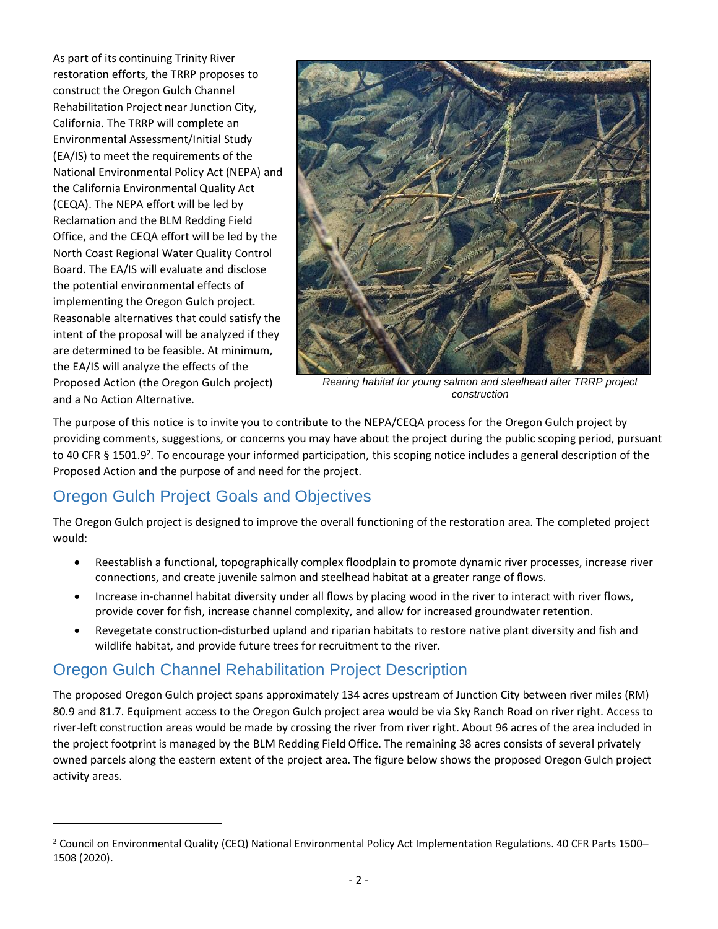As part of its continuing Trinity River restoration efforts, the TRRP proposes to construct the Oregon Gulch Channel Rehabilitation Project near Junction City, California. The TRRP will complete an Environmental Assessment/Initial Study (EA/IS) to meet the requirements of the National Environmental Policy Act (NEPA) and the California Environmental Quality Act (CEQA). The NEPA effort will be led by Reclamation and the BLM Redding Field Office, and the CEQA effort will be led by the North Coast Regional Water Quality Control Board. The EA/IS will evaluate and disclose the potential environmental effects of implementing the Oregon Gulch project. Reasonable alternatives that could satisfy the intent of the proposal will be analyzed if they are determined to be feasible. At minimum, the EA/IS will analyze the effects of the Proposed Action (the Oregon Gulch project) and a No Action Alternative.



*Rearing habitat for young salmon and steelhead after TRRP project construction* 

The purpose of this notice is to invite you to contribute to the NEPA/CEQA process for the Oregon Gulch project by providing comments, suggestions, or concerns you may have about the project during the public scoping period, pursuant to 40 CFR § 1501.9<sup>2</sup>. To encourage your informed participation, this scoping notice includes a general description of the Proposed Action and the purpose of and need for the project.

## Oregon Gulch Project Goals and Objectives

The Oregon Gulch project is designed to improve the overall functioning of the restoration area. The completed project would:

- Reestablish a functional, topographically complex floodplain to promote dynamic river processes, increase river connections, and create juvenile salmon and steelhead habitat at a greater range of flows.
- Increase in-channel habitat diversity under all flows by placing wood in the river to interact with river flows, provide cover for fish, increase channel complexity, and allow for increased groundwater retention.
- Revegetate construction-disturbed upland and riparian habitats to restore native plant diversity and fish and wildlife habitat, and provide future trees for recruitment to the river.

## Oregon Gulch Channel Rehabilitation Project Description

The proposed Oregon Gulch project spans approximately 134 acres upstream of Junction City between river miles (RM) 80.9 and 81.7. Equipment access to the Oregon Gulch project area would be via Sky Ranch Road on river right. Access to river-left construction areas would be made by crossing the river from river right. About 96 acres of the area included in the project footprint is managed by the BLM Redding Field Office. The remaining 38 acres consists of several privately owned parcels along the eastern extent of the project area. The figure below shows the proposed Oregon Gulch project activity areas.

<sup>2</sup> Council on Environmental Quality (CEQ) National Environmental Policy Act Implementation Regulations. 40 CFR Parts 1500– 1508 (2020).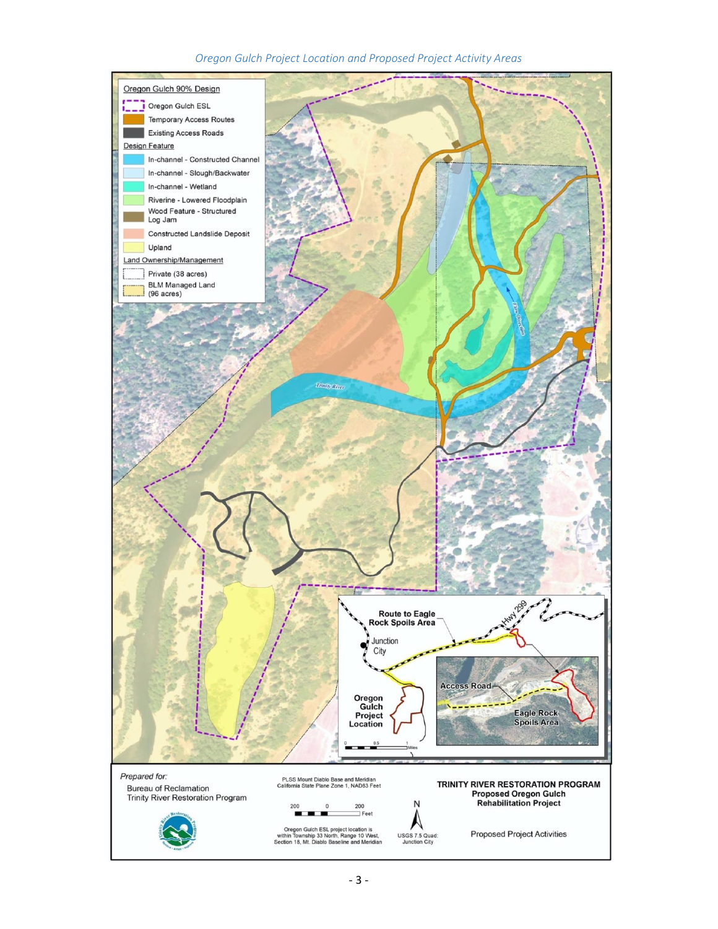#### *Oregon Gulch Project Location and Proposed Project Activity Areas*

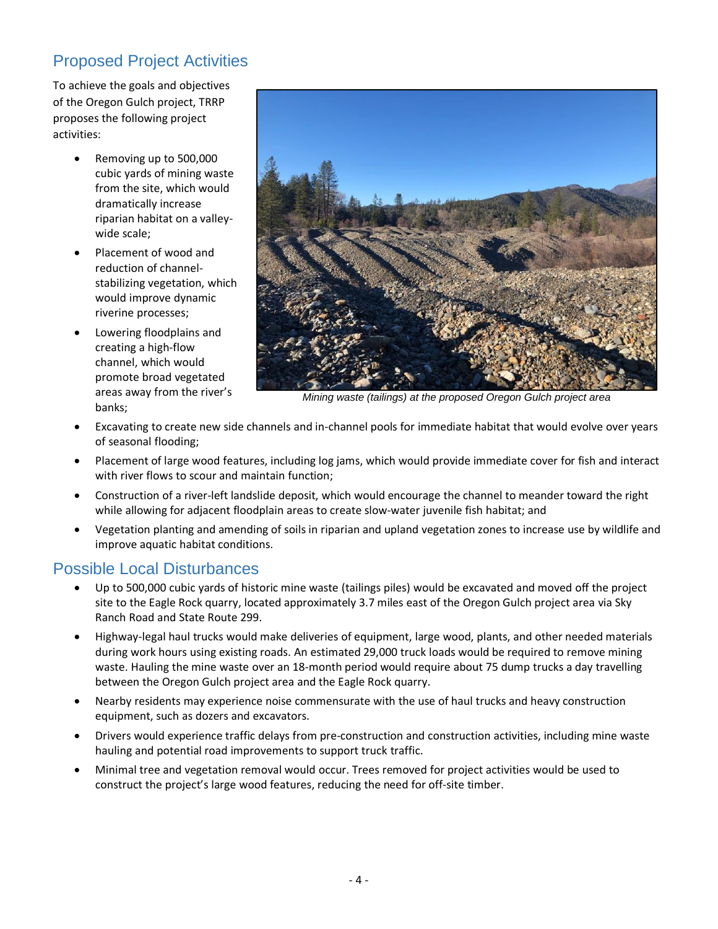## Proposed Project Activities

To achieve the goals and objectives of the Oregon Gulch project, TRRP proposes the following project activities:

- Removing up to 500,000 cubic yards of mining waste from the site, which would dramatically increase riparian habitat on a valleywide scale;
- Placement of wood and reduction of channelstabilizing vegetation, which would improve dynamic riverine processes;
- Lowering floodplains and creating a high-flow channel, which would promote broad vegetated areas away from the river's banks;



*Mining waste (tailings) at the proposed Oregon Gulch project area* 

- Excavating to create new side channels and in-channel pools for immediate habitat that would evolve over years of seasonal flooding;
- Placement of large wood features, including log jams, which would provide immediate cover for fish and interact with river flows to scour and maintain function;
- Construction of a river-left landslide deposit, which would encourage the channel to meander toward the right while allowing for adjacent floodplain areas to create slow-water juvenile fish habitat; and
- Vegetation planting and amending of soils in riparian and upland vegetation zones to increase use by wildlife and improve aquatic habitat conditions.

#### Possible Local Disturbances

- Up to 500,000 cubic yards of historic mine waste (tailings piles) would be excavated and moved off the project site to the Eagle Rock quarry, located approximately 3.7 miles east of the Oregon Gulch project area via Sky Ranch Road and State Route 299.
- Highway-legal haul trucks would make deliveries of equipment, large wood, plants, and other needed materials during work hours using existing roads. An estimated 29,000 truck loads would be required to remove mining waste. Hauling the mine waste over an 18-month period would require about 75 dump trucks a day travelling between the Oregon Gulch project area and the Eagle Rock quarry.
- Nearby residents may experience noise commensurate with the use of haul trucks and heavy construction equipment, such as dozers and excavators.
- Drivers would experience traffic delays from pre-construction and construction activities, including mine waste hauling and potential road improvements to support truck traffic.
- Minimal tree and vegetation removal would occur. Trees removed for project activities would be used to construct the project's large wood features, reducing the need for off-site timber.